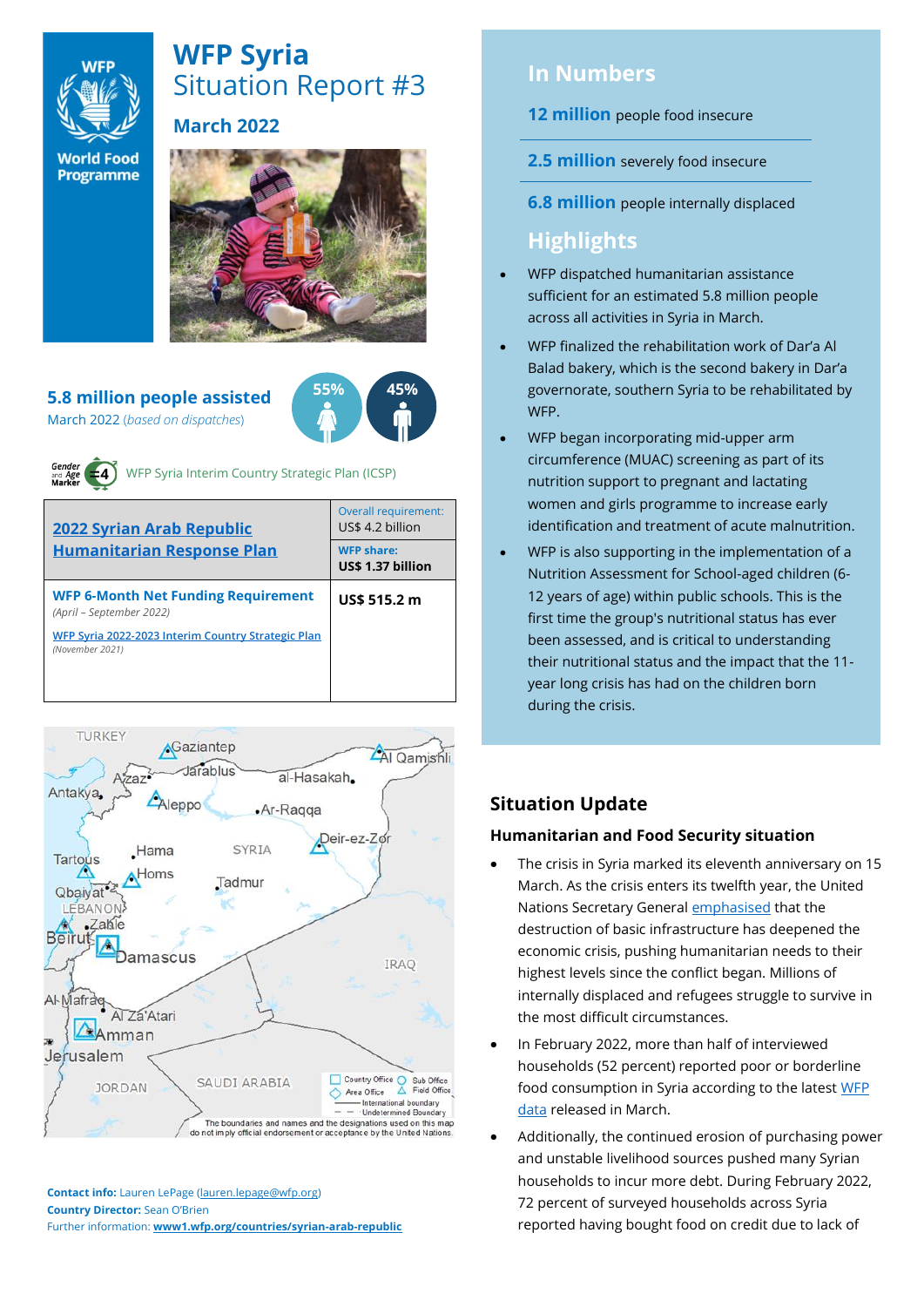

# **WFP Syria** Situation Report #3

# **March 2022**

**World Food Programme** 



**5.8 million people assisted** March 2022 (*based on dispatches*)





WFP Syria Interim Country Strategic Plan (ICSP)

| Overall requirement:<br>US\$ 4.2 billion |
|------------------------------------------|
| <b>WFP share:</b><br>US\$ 1.37 billion   |
| US\$ 515.2 m                             |
|                                          |
|                                          |



**Contact info:** Lauren LePage [\(lauren.lepage@wfp.org\)](mailto:lauren.lepage@wfp.org) **Country Director:** Sean O'Brien Further information: **[www1.wfp.org/countries/syrian-arab-republic](file:///C:/Users/lauren.lepage/AppData/Local/Microsoft/Windows/INetCache/Content.Outlook/HTRVWXQN/www1.wfp.org/countries/syrian-arab-republic)**

# **In Numbers**

**12 million** people food insecure

- **2.5 million** severely food insecure
- **6.8 million** people internally displaced

# **Highlights**

- WFP dispatched humanitarian assistance sufficient for an estimated 5.8 million people across all activities in Syria in March.
- WFP finalized the rehabilitation work of Dar'a Al Balad bakery, which is the second bakery in Dar'a governorate, southern Syria to be rehabilitated by WFP.
- WFP began incorporating mid-upper arm circumference (MUAC) screening as part of its nutrition support to pregnant and lactating women and girls programme to increase early identification and treatment of acute malnutrition.
- WFP is also supporting in the implementation of a Nutrition Assessment for School-aged children (6- 12 years of age) within public schools. This is the first time the group's nutritional status has ever been assessed, and is critical to understanding their nutritional status and the impact that the 11 year long crisis has had on the children born during the crisis.

## **Situation Update**

#### **Humanitarian and Food Security situation**

- The crisis in Syria marked its eleventh anniversary on 15 March. As the crisis enters its twelfth year, the United Nations Secretary General [emphasised](https://reliefweb.int/report/syrian-arab-republic/we-cannot-fail-syrian-people-secretary-general-says-stressing-there-must) that the destruction of basic infrastructure has deepened the economic crisis, pushing humanitarian needs to their highest levels since the conflict began. Millions of internally displaced and refugees struggle to survive in the most difficult circumstances.
- In February 2022, more than half of interviewed households (52 percent) reported poor or borderline food consumption in Syria according to the latest [WFP](https://reliefweb.int/report/syrian-arab-republic/syria-mvam-bulletin-64-february-2022)  [data](https://reliefweb.int/report/syrian-arab-republic/syria-mvam-bulletin-64-february-2022) released in March.
- Additionally, the continued erosion of purchasing power and unstable livelihood sources pushed many Syrian households to incur more debt. During February 2022, 72 percent of surveyed households across Syria reported having bought food on credit due to lack of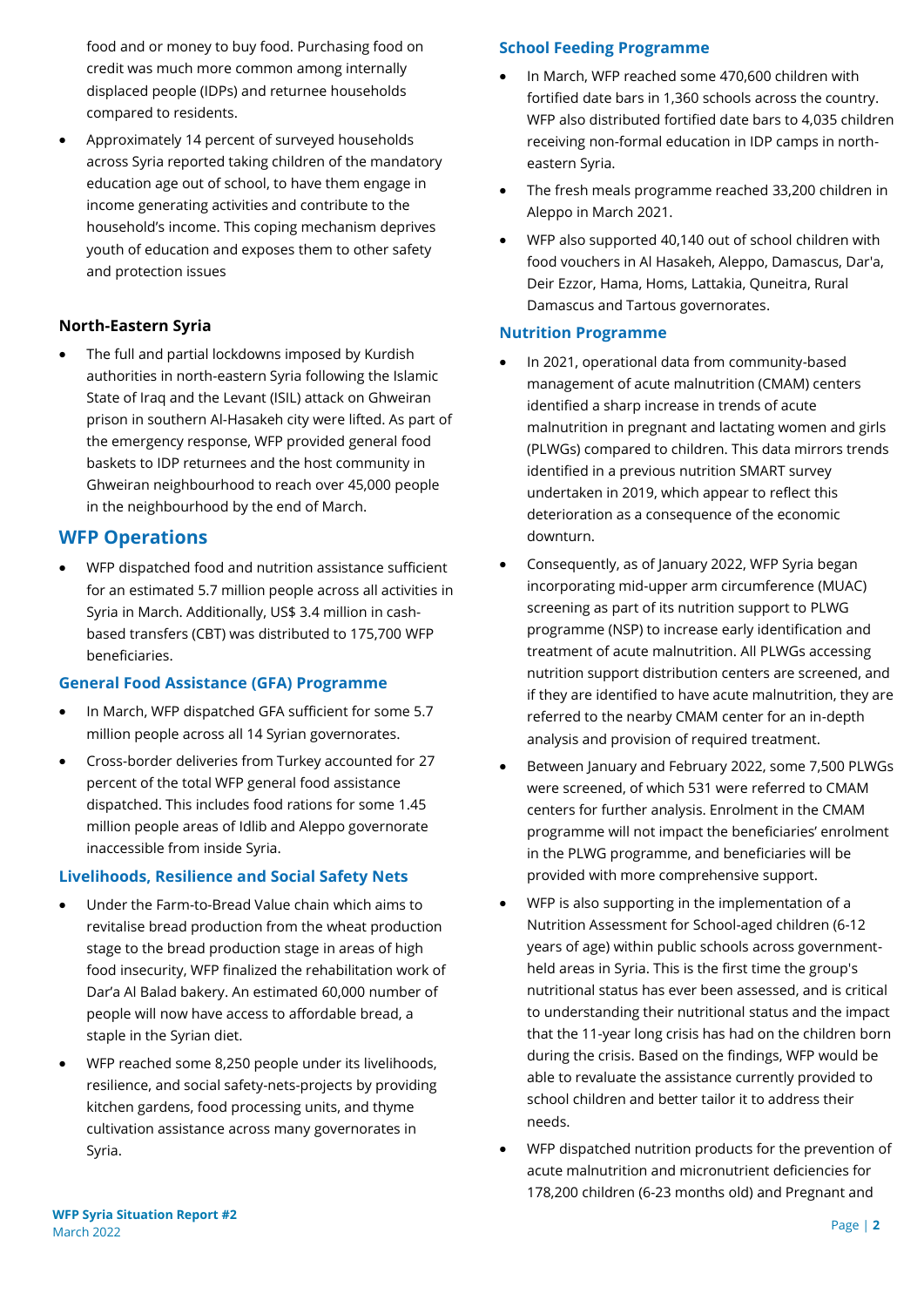food and or money to buy food. Purchasing food on credit was much more common among internally displaced people (IDPs) and returnee households compared to residents.

• Approximately 14 percent of surveyed households across Syria reported taking children of the mandatory education age out of school, to have them engage in income generating activities and contribute to the household's income. This coping mechanism deprives youth of education and exposes them to other safety and protection issues

#### **North-Eastern Syria**

The full and partial lockdowns imposed by Kurdish authorities in north-eastern Syria following the Islamic State of Iraq and the Levant (ISIL) attack on Ghweiran prison in southern Al-Hasakeh city were lifted. As part of the emergency response, WFP provided general food baskets to IDP returnees and the host community in Ghweiran neighbourhood to reach over 45,000 people in the neighbourhood by the end of March.

#### **WFP Operations**

• WFP dispatched food and nutrition assistance sufficient for an estimated 5.7 million people across all activities in Syria in March. Additionally, US\$ 3.4 million in cashbased transfers (CBT) was distributed to 175,700 WFP beneficiaries.

#### **General Food Assistance (GFA) Programme**

- In March, WFP dispatched GFA sufficient for some 5.7 million people across all 14 Syrian governorates.
- Cross-border deliveries from Turkey accounted for 27 percent of the total WFP general food assistance dispatched. This includes food rations for some 1.45 million people areas of Idlib and Aleppo governorate inaccessible from inside Syria.

#### **Livelihoods, Resilience and Social Safety Nets**

- Under the Farm-to-Bread Value chain which aims to revitalise bread production from the wheat production stage to the bread production stage in areas of high food insecurity, WFP finalized the rehabilitation work of Dar'a Al Balad bakery. An estimated 60,000 number of people will now have access to affordable bread, a staple in the Syrian diet.
- WFP reached some 8,250 people under its livelihoods, resilience, and social safety-nets-projects by providing kitchen gardens, food processing units, and thyme cultivation assistance across many governorates in Syria.

#### **School Feeding Programme**

- In March, WFP reached some 470,600 children with fortified date bars in 1,360 schools across the country. WFP also distributed fortified date bars to 4,035 children receiving non-formal education in IDP camps in northeastern Syria.
- The fresh meals programme reached 33,200 children in Aleppo in March 2021.
- WFP also supported 40,140 out of school children with food vouchers in Al Hasakeh, Aleppo, Damascus, Dar'a, Deir Ezzor, Hama, Homs, Lattakia, Quneitra, Rural Damascus and Tartous governorates.

#### **Nutrition Programme**

- In 2021, operational data from community-based management of acute malnutrition (CMAM) centers identified a sharp increase in trends of acute malnutrition in pregnant and lactating women and girls (PLWGs) compared to children. This data mirrors trends identified in a previous nutrition SMART survey undertaken in 2019, which appear to reflect this deterioration as a consequence of the economic downturn.
- Consequently, as of January 2022, WFP Syria began incorporating mid-upper arm circumference (MUAC) screening as part of its nutrition support to PLWG programme (NSP) to increase early identification and treatment of acute malnutrition. All PLWGs accessing nutrition support distribution centers are screened, and if they are identified to have acute malnutrition, they are referred to the nearby CMAM center for an in-depth analysis and provision of required treatment.
- Between January and February 2022, some 7,500 PLWGs were screened, of which 531 were referred to CMAM centers for further analysis. Enrolment in the CMAM programme will not impact the beneficiaries' enrolment in the PLWG programme, and beneficiaries will be provided with more comprehensive support.
- WFP is also supporting in the implementation of a Nutrition Assessment for School-aged children (6-12 years of age) within public schools across governmentheld areas in Syria. This is the first time the group's nutritional status has ever been assessed, and is critical to understanding their nutritional status and the impact that the 11-year long crisis has had on the children born during the crisis. Based on the findings, WFP would be able to revaluate the assistance currently provided to school children and better tailor it to address their needs.
- WFP dispatched nutrition products for the prevention of acute malnutrition and micronutrient deficiencies for 178,200 children (6-23 months old) and Pregnant and